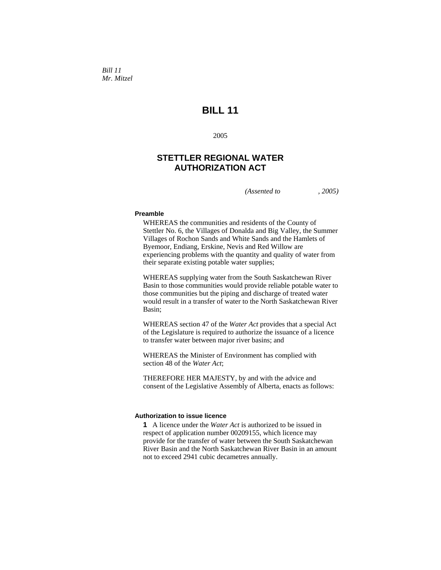*Bill 11 Mr. Mitzel* 

# **BILL 11**

2005

## **STETTLER REGIONAL WATER AUTHORIZATION ACT**

*(Assented to , 2005)* 

### **Preamble**

WHEREAS the communities and residents of the County of Stettler No. 6, the Villages of Donalda and Big Valley, the Summer Villages of Rochon Sands and White Sands and the Hamlets of Byemoor, Endiang, Erskine, Nevis and Red Willow are experiencing problems with the quantity and quality of water from their separate existing potable water supplies;

WHEREAS supplying water from the South Saskatchewan River Basin to those communities would provide reliable potable water to those communities but the piping and discharge of treated water would result in a transfer of water to the North Saskatchewan River Basin;

WHEREAS section 47 of the *Water Act* provides that a special Act of the Legislature is required to authorize the issuance of a licence to transfer water between major river basins; and

WHEREAS the Minister of Environment has complied with section 48 of the *Water Act*;

THEREFORE HER MAJESTY, by and with the advice and consent of the Legislative Assembly of Alberta, enacts as follows:

#### **Authorization to issue licence**

**1** A licence under the *Water Act* is authorized to be issued in respect of application number 00209155, which licence may provide for the transfer of water between the South Saskatchewan River Basin and the North Saskatchewan River Basin in an amount not to exceed 2941 cubic decametres annually.